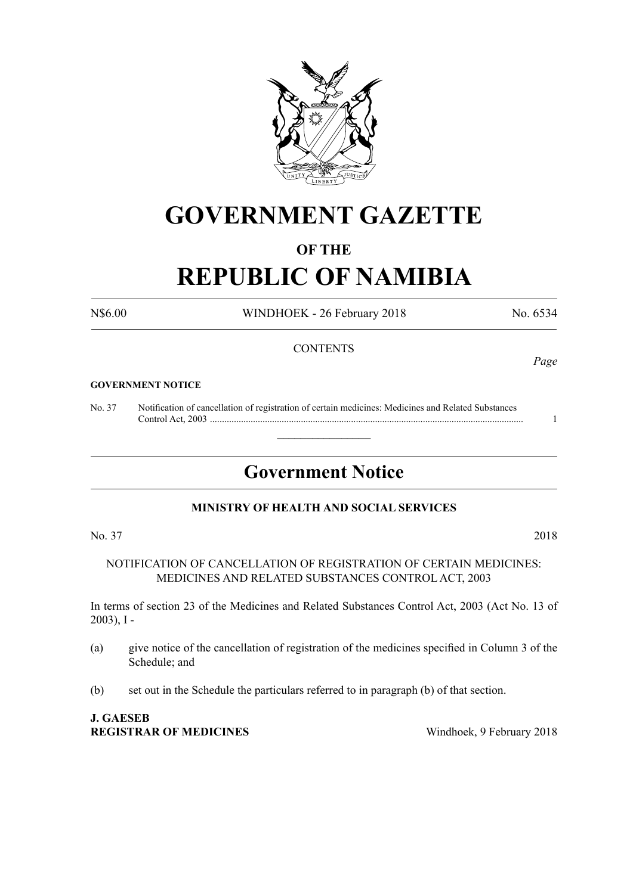

# **GOVERNMENT GAZETTE**

# **OF THE**

# **REPUBLIC OF NAMIBIA**

N\$6.00 WINDHOEK - 26 February 2018 No. 6534

### **CONTENTS**

#### **GOVERNMENT NOTICE**

No. 37 Notification of cancellation of registration of certain medicines: Medicines and Related Substances Control Act, 2003 ................................................................................................................................... 1

# **Government Notice**

 $\overline{\phantom{a}}$  , where  $\overline{\phantom{a}}$ 

### **MINISTRY OF HEALTH AND SOCIAL SERVICES**

No. 37 2018

NOTIFICATION OF CANCELLATION OF REGISTRATION OF CERTAIN MEDICINES: MEDICINES AND RELATED SUBSTANCES CONTROL ACT, 2003

In terms of section 23 of the Medicines and Related Substances Control Act, 2003 (Act No. 13 of 2003), I -

- (a) give notice of the cancellation of registration of the medicines specified in Column 3 of the Schedule; and
- (b) set out in the Schedule the particulars referred to in paragraph (b) of that section.

# **J. GAESEB REGISTRAR OF MEDICINES** Windhoek, 9 February 2018

*Page*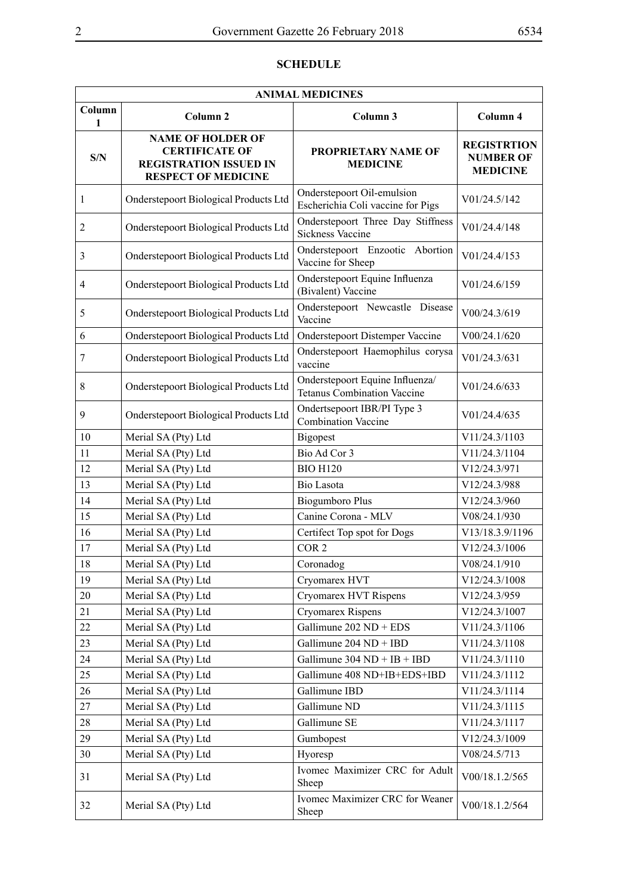# **SCHEDULE**

| <b>ANIMAL MEDICINES</b> |                                                                                                                  |                                                                       |                                                           |  |
|-------------------------|------------------------------------------------------------------------------------------------------------------|-----------------------------------------------------------------------|-----------------------------------------------------------|--|
| Column<br>1             | Column <sub>2</sub>                                                                                              | Column 3                                                              | Column 4                                                  |  |
| S/N                     | <b>NAME OF HOLDER OF</b><br><b>CERTIFICATE OF</b><br><b>REGISTRATION ISSUED IN</b><br><b>RESPECT OF MEDICINE</b> | PROPRIETARY NAME OF<br><b>MEDICINE</b>                                | <b>REGISTRTION</b><br><b>NUMBER OF</b><br><b>MEDICINE</b> |  |
| $\mathbf{1}$            | Onderstepoort Biological Products Ltd                                                                            | Onderstepoort Oil-emulsion<br>Escherichia Coli vaccine for Pigs       | V01/24.5/142                                              |  |
| $\overline{2}$          | Onderstepoort Biological Products Ltd                                                                            | Onderstepoort Three Day Stiffness<br><b>Sickness Vaccine</b>          | V01/24.4/148                                              |  |
| $\mathfrak{Z}$          | Onderstepoort Biological Products Ltd                                                                            | Onderstepoort Enzootic Abortion<br>Vaccine for Sheep                  | V01/24.4/153                                              |  |
| $\overline{4}$          | Onderstepoort Biological Products Ltd                                                                            | Onderstepoort Equine Influenza<br>(Bivalent) Vaccine                  | V01/24.6/159                                              |  |
| 5                       | Onderstepoort Biological Products Ltd                                                                            | Onderstepoort Newcastle Disease<br>Vaccine                            | V00/24.3/619                                              |  |
| 6                       | Onderstepoort Biological Products Ltd                                                                            | <b>Onderstepoort Distemper Vaccine</b>                                | V00/24.1/620                                              |  |
| $\tau$                  | Onderstepoort Biological Products Ltd                                                                            | Onderstepoort Haemophilus corysa<br>vaccine                           | V01/24.3/631                                              |  |
| 8                       | Onderstepoort Biological Products Ltd                                                                            | Onderstepoort Equine Influenza/<br><b>Tetanus Combination Vaccine</b> | V01/24.6/633                                              |  |
| 9                       | Onderstepoort Biological Products Ltd                                                                            | Ondertsepoort IBR/PI Type 3<br><b>Combination Vaccine</b>             | V01/24.4/635                                              |  |
| 10                      | Merial SA (Pty) Ltd                                                                                              | Bigopest                                                              | V11/24.3/1103                                             |  |
| 11                      | Merial SA (Pty) Ltd                                                                                              | Bio Ad Cor 3                                                          | V11/24.3/1104                                             |  |
| 12                      | Merial SA (Pty) Ltd                                                                                              | <b>BIO H120</b>                                                       | V12/24.3/971                                              |  |
| 13                      | Merial SA (Pty) Ltd                                                                                              | Bio Lasota                                                            | V12/24.3/988                                              |  |
| 14                      | Merial SA (Pty) Ltd                                                                                              | <b>Biogumboro Plus</b>                                                | V12/24.3/960                                              |  |
| 15                      | Merial SA (Pty) Ltd                                                                                              | Canine Corona - MLV                                                   | V08/24.1/930                                              |  |
| 16                      | Merial SA (Pty) Ltd                                                                                              | Certifect Top spot for Dogs                                           | V13/18.3.9/1196                                           |  |
| 17                      | Merial SA (Pty) Ltd                                                                                              | COR <sub>2</sub>                                                      | V12/24.3/1006                                             |  |
| 18                      | Merial SA (Pty) Ltd                                                                                              | Coronadog                                                             | V08/24.1/910                                              |  |
| 19                      | Merial SA (Pty) Ltd                                                                                              | Cryomarex HVT                                                         | V12/24.3/1008                                             |  |
| 20                      | Merial SA (Pty) Ltd                                                                                              | Cryomarex HVT Rispens                                                 | V12/24.3/959                                              |  |
| 21                      | Merial SA (Pty) Ltd                                                                                              | Cryomarex Rispens                                                     | V12/24.3/1007                                             |  |
| $22\,$                  | Merial SA (Pty) Ltd                                                                                              | Gallimune 202 ND + EDS                                                | V11/24.3/1106                                             |  |
| 23                      | Merial SA (Pty) Ltd                                                                                              | Gallimune 204 ND + IBD                                                | V11/24.3/1108                                             |  |
| 24                      | Merial SA (Pty) Ltd                                                                                              | Gallimune $304 \text{ ND} + \text{IB} + \text{IBD}$                   | V11/24.3/1110                                             |  |
| 25                      | Merial SA (Pty) Ltd                                                                                              | Gallimune 408 ND+IB+EDS+IBD                                           | V11/24.3/1112                                             |  |
| 26                      | Merial SA (Pty) Ltd                                                                                              | Gallimune IBD                                                         | V11/24.3/1114                                             |  |
| 27                      | Merial SA (Pty) Ltd                                                                                              | Gallimune ND                                                          | V11/24.3/1115                                             |  |
| 28                      | Merial SA (Pty) Ltd                                                                                              | Gallimune SE                                                          | V11/24.3/1117                                             |  |
| 29                      | Merial SA (Pty) Ltd                                                                                              | Gumbopest                                                             | V12/24.3/1009                                             |  |
| 30                      | Merial SA (Pty) Ltd                                                                                              | Hyoresp                                                               | V08/24.5/713                                              |  |
| 31                      | Merial SA (Pty) Ltd                                                                                              | Ivomec Maximizer CRC for Adult<br>Sheep                               | V00/18.1.2/565                                            |  |
| 32                      | Merial SA (Pty) Ltd                                                                                              | Ivomec Maximizer CRC for Weaner<br>V00/18.1.2/564<br>Sheep            |                                                           |  |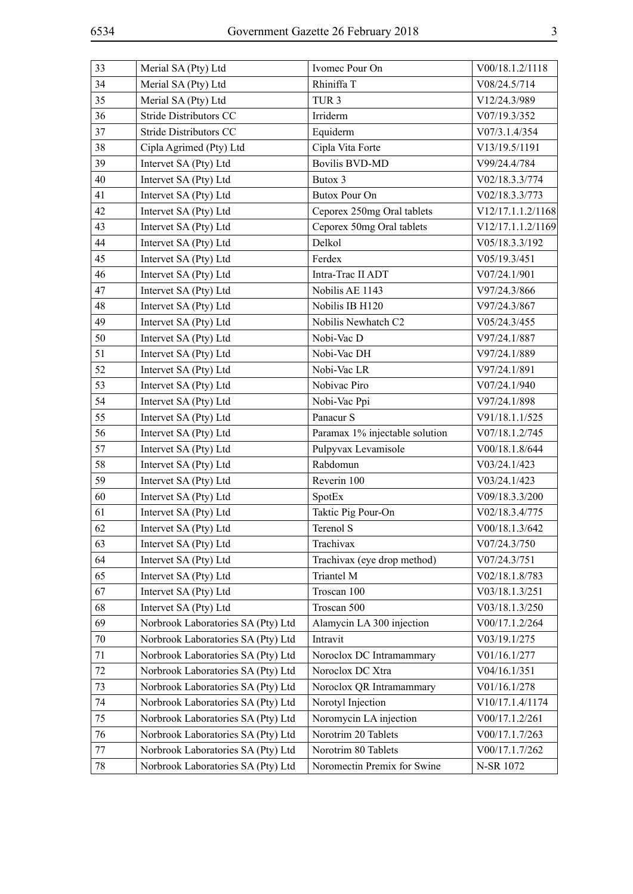| ۰. | ۰.          |
|----|-------------|
|    | ٢           |
|    | ×           |
|    |             |
|    | I<br>I<br>I |
|    | ۰.          |

| 33 | Merial SA (Pty) Ltd                | Ivomec Pour On                 | V00/18.1.2/1118   |
|----|------------------------------------|--------------------------------|-------------------|
| 34 | Merial SA (Pty) Ltd                | Rhiniffa T                     | V08/24.5/714      |
| 35 | Merial SA (Pty) Ltd                | TUR <sub>3</sub>               | V12/24.3/989      |
| 36 | Stride Distributors CC             | Irriderm                       | V07/19.3/352      |
| 37 | Stride Distributors CC             | Equiderm                       | V07/3.1.4/354     |
| 38 | Cipla Agrimed (Pty) Ltd            | Cipla Vita Forte               | V13/19.5/1191     |
| 39 | Intervet SA (Pty) Ltd              | <b>Bovilis BVD-MD</b>          | V99/24.4/784      |
| 40 | Intervet SA (Pty) Ltd              | Butox 3                        | V02/18.3.3/774    |
| 41 | Intervet SA (Pty) Ltd              | <b>Butox Pour On</b>           | V02/18.3.3/773    |
| 42 | Intervet SA (Pty) Ltd              | Ceporex 250mg Oral tablets     | V12/17.1.1.2/1168 |
| 43 | Intervet SA (Pty) Ltd              | Ceporex 50mg Oral tablets      | V12/17.1.1.2/1169 |
| 44 | Intervet SA (Pty) Ltd              | Delkol                         | V05/18.3.3/192    |
| 45 | Intervet SA (Pty) Ltd              | Ferdex                         | V05/19.3/451      |
| 46 | Intervet SA (Pty) Ltd              | Intra-Trac II ADT              | V07/24.1/901      |
| 47 | Intervet SA (Pty) Ltd              | Nobilis AE 1143                | V97/24.3/866      |
| 48 | Intervet SA (Pty) Ltd              | Nobilis IB H120                | V97/24.3/867      |
| 49 | Intervet SA (Pty) Ltd              | Nobilis Newhatch C2            | V05/24.3/455      |
| 50 | Intervet SA (Pty) Ltd              | Nobi-Vac D                     | V97/24.1/887      |
| 51 | Intervet SA (Pty) Ltd              | Nobi-Vac DH                    | V97/24.1/889      |
| 52 | Intervet SA (Pty) Ltd              | Nobi-Vac LR                    | V97/24.1/891      |
| 53 | Intervet SA (Pty) Ltd              | Nobivac Piro                   | V07/24.1/940      |
| 54 | Intervet SA (Pty) Ltd              | Nobi-Vac Ppi                   | V97/24.1/898      |
| 55 | Intervet SA (Pty) Ltd              | Panacur S                      | V91/18.1.1/525    |
| 56 | Intervet SA (Pty) Ltd              | Paramax 1% injectable solution | V07/18.1.2/745    |
| 57 | Intervet SA (Pty) Ltd              | Pulpyvax Levamisole            | V00/18.1.8/644    |
| 58 | Intervet SA (Pty) Ltd              | Rabdomun                       | V03/24.1/423      |
| 59 | Intervet SA (Pty) Ltd              | Reverin 100                    | V03/24.1/423      |
| 60 | Intervet SA (Pty) Ltd              | SpotEx                         | V09/18.3.3/200    |
| 61 | Intervet SA (Pty) Ltd              | Taktic Pig Pour-On             | V02/18.3.4/775    |
| 62 | Intervet SA (Pty) Ltd              | Terenol S                      | V00/18.1.3/642    |
| 63 | Intervet SA (Pty) Ltd              | Trachivax                      | V07/24.3/750      |
| 64 | Intervet SA (Pty) Ltd              | Trachivax (eye drop method)    | V07/24.3/751      |
| 65 | Intervet SA (Pty) Ltd              | Triantel M                     | V02/18.1.8/783    |
| 67 | Intervet SA (Pty) Ltd              | Troscan 100                    | V03/18.1.3/251    |
| 68 | Intervet SA (Pty) Ltd              | Troscan 500                    | V03/18.1.3/250    |
| 69 | Norbrook Laboratories SA (Pty) Ltd | Alamycin LA 300 injection      | V00/17.1.2/264    |
| 70 | Norbrook Laboratories SA (Pty) Ltd | Intravit                       | V03/19.1/275      |
| 71 | Norbrook Laboratories SA (Pty) Ltd | Noroclox DC Intramammary       | V01/16.1/277      |
| 72 | Norbrook Laboratories SA (Pty) Ltd | Noroclox DC Xtra               | V04/16.1/351      |
| 73 | Norbrook Laboratories SA (Pty) Ltd | Noroclox QR Intramammary       | V01/16.1/278      |
| 74 | Norbrook Laboratories SA (Pty) Ltd | Norotyl Injection              | V10/17.1.4/1174   |
| 75 | Norbrook Laboratories SA (Pty) Ltd | Noromycin LA injection         | V00/17.1.2/261    |
| 76 | Norbrook Laboratories SA (Pty) Ltd | Norotrim 20 Tablets            | V00/17.1.7/263    |
| 77 | Norbrook Laboratories SA (Pty) Ltd | Norotrim 80 Tablets            | V00/17.1.7/262    |
| 78 | Norbrook Laboratories SA (Pty) Ltd | Noromectin Premix for Swine    | N-SR 1072         |
|    |                                    |                                |                   |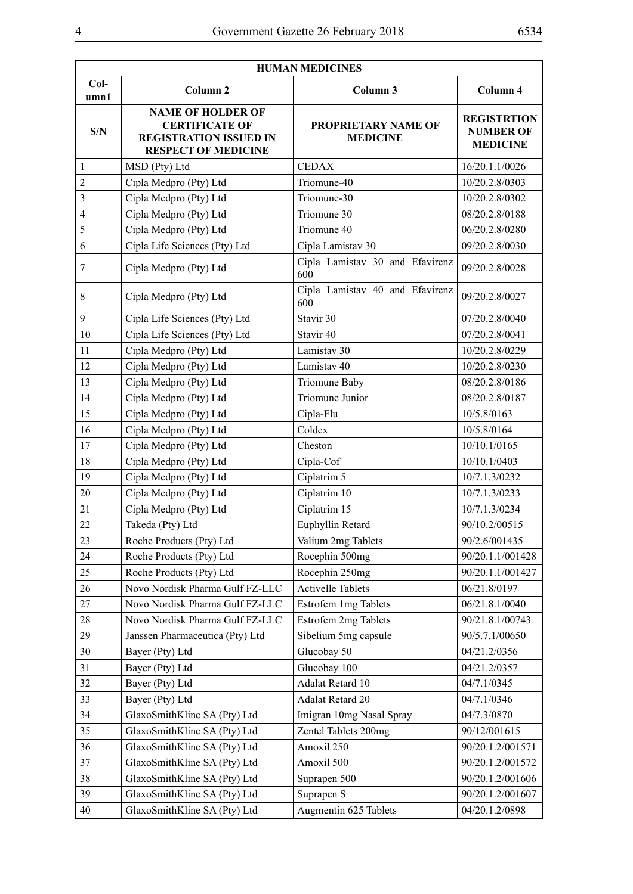$\overline{\phantom{a}}$ 

| <b>HUMAN MEDICINES</b>  |                                                                                                                  |                                        |                                                           |  |  |
|-------------------------|------------------------------------------------------------------------------------------------------------------|----------------------------------------|-----------------------------------------------------------|--|--|
| $Col-$<br>umn1          | Column 3<br>Column <sub>2</sub>                                                                                  |                                        | Column 4                                                  |  |  |
| S/N                     | <b>NAME OF HOLDER OF</b><br><b>CERTIFICATE OF</b><br><b>REGISTRATION ISSUED IN</b><br><b>RESPECT OF MEDICINE</b> | PROPRIETARY NAME OF<br><b>MEDICINE</b> | <b>REGISTRTION</b><br><b>NUMBER OF</b><br><b>MEDICINE</b> |  |  |
| $\mathbf{1}$            | MSD (Pty) Ltd                                                                                                    | <b>CEDAX</b>                           | 16/20.1.1/0026                                            |  |  |
| $\overline{2}$          | Cipla Medpro (Pty) Ltd                                                                                           | Triomune-40                            | 10/20.2.8/0303                                            |  |  |
| $\overline{\mathbf{3}}$ | Cipla Medpro (Pty) Ltd                                                                                           | Triomune-30                            | 10/20.2.8/0302                                            |  |  |
| $\overline{4}$          | Cipla Medpro (Pty) Ltd                                                                                           | Triomune 30                            | 08/20.2.8/0188                                            |  |  |
| 5                       | Cipla Medpro (Pty) Ltd                                                                                           | Triomune 40                            | 06/20.2.8/0280                                            |  |  |
| 6                       | Cipla Life Sciences (Pty) Ltd                                                                                    | Cipla Lamistav 30                      | 09/20.2.8/0030                                            |  |  |
| 7                       | Cipla Medpro (Pty) Ltd                                                                                           | Cipla Lamistav 30 and Efavirenz<br>600 | 09/20.2.8/0028                                            |  |  |
| $8\,$                   | Cipla Medpro (Pty) Ltd                                                                                           | Cipla Lamistav 40 and Efavirenz<br>600 | 09/20.2.8/0027                                            |  |  |
| 9                       | Cipla Life Sciences (Pty) Ltd                                                                                    | Stavir 30                              | 07/20.2.8/0040                                            |  |  |
| 10                      | Cipla Life Sciences (Pty) Ltd                                                                                    | Stavir 40                              | 07/20.2.8/0041                                            |  |  |
| 11                      | Cipla Medpro (Pty) Ltd                                                                                           | Lamistav 30                            | 10/20.2.8/0229                                            |  |  |
| 12                      | Cipla Medpro (Pty) Ltd                                                                                           | Lamistav 40                            | 10/20.2.8/0230                                            |  |  |
| 13                      | Cipla Medpro (Pty) Ltd                                                                                           | Triomune Baby                          | 08/20.2.8/0186                                            |  |  |
| 14                      | Cipla Medpro (Pty) Ltd                                                                                           | Triomune Junior                        | 08/20.2.8/0187                                            |  |  |
| 15                      | Cipla Medpro (Pty) Ltd                                                                                           | Cipla-Flu                              | 10/5.8/0163                                               |  |  |
| 16                      | Cipla Medpro (Pty) Ltd                                                                                           | Coldex                                 | 10/5.8/0164                                               |  |  |
| 17                      | Cipla Medpro (Pty) Ltd                                                                                           | Cheston                                | 10/10.1/0165                                              |  |  |
| 18                      | Cipla Medpro (Pty) Ltd                                                                                           | Cipla-Cof                              | 10/10.1/0403                                              |  |  |
| 19                      | Cipla Medpro (Pty) Ltd                                                                                           | Ciplatrim 5                            | 10/7.1.3/0232                                             |  |  |
| 20                      | Cipla Medpro (Pty) Ltd                                                                                           | Ciplatrim 10                           | 10/7.1.3/0233                                             |  |  |
| 21                      | Cipla Medpro (Pty) Ltd                                                                                           | Ciplatrim 15                           | 10/7.1.3/0234                                             |  |  |
| 22                      | Takeda (Pty) Ltd                                                                                                 | Euphyllin Retard                       | 90/10.2/00515                                             |  |  |
| 23                      | Roche Products (Pty) Ltd                                                                                         | Valium 2mg Tablets                     | 90/2.6/001435                                             |  |  |
| 24                      | Roche Products (Pty) Ltd                                                                                         | Rocephin 500mg                         | 90/20.1.1/001428                                          |  |  |
| 25                      | Roche Products (Pty) Ltd                                                                                         | Rocephin 250mg                         | 90/20.1.1/001427                                          |  |  |
| 26                      | Novo Nordisk Pharma Gulf FZ-LLC                                                                                  | <b>Activelle Tablets</b>               | 06/21.8/0197                                              |  |  |
| 27                      | Novo Nordisk Pharma Gulf FZ-LLC                                                                                  | Estrofem 1mg Tablets                   | 06/21.8.1/0040                                            |  |  |
| 28                      | Novo Nordisk Pharma Gulf FZ-LLC                                                                                  | Estrofem 2mg Tablets                   | 90/21.8.1/00743                                           |  |  |
| 29                      | Janssen Pharmaceutica (Pty) Ltd                                                                                  | Sibelium 5mg capsule                   | 90/5.7.1/00650                                            |  |  |
| 30                      | Bayer (Pty) Ltd                                                                                                  | Glucobay 50                            | 04/21.2/0356                                              |  |  |
| 31                      | Bayer (Pty) Ltd                                                                                                  | Glucobay 100                           | 04/21.2/0357                                              |  |  |
| 32                      | Bayer (Pty) Ltd                                                                                                  | Adalat Retard 10                       | 04/7.1/0345                                               |  |  |
| 33                      | Bayer (Pty) Ltd                                                                                                  | Adalat Retard 20                       | 04/7.1/0346                                               |  |  |
| 34                      | GlaxoSmithKline SA (Pty) Ltd                                                                                     | Imigran 10mg Nasal Spray               | 04/7.3/0870                                               |  |  |
| 35                      | GlaxoSmithKline SA (Pty) Ltd                                                                                     | Zentel Tablets 200mg                   | 90/12/001615                                              |  |  |
| 36                      | GlaxoSmithKline SA (Pty) Ltd                                                                                     | Amoxil 250                             | 90/20.1.2/001571                                          |  |  |
| 37                      | GlaxoSmithKline SA (Pty) Ltd                                                                                     | Amoxil 500                             | 90/20.1.2/001572                                          |  |  |
| 38                      | GlaxoSmithKline SA (Pty) Ltd                                                                                     | Suprapen 500                           | 90/20.1.2/001606                                          |  |  |
| 39                      | GlaxoSmithKline SA (Pty) Ltd                                                                                     | Suprapen S                             | 90/20.1.2/001607                                          |  |  |
| 40                      | GlaxoSmithKline SA (Pty) Ltd<br>Augmentin 625 Tablets                                                            |                                        | 04/20.1.2/0898                                            |  |  |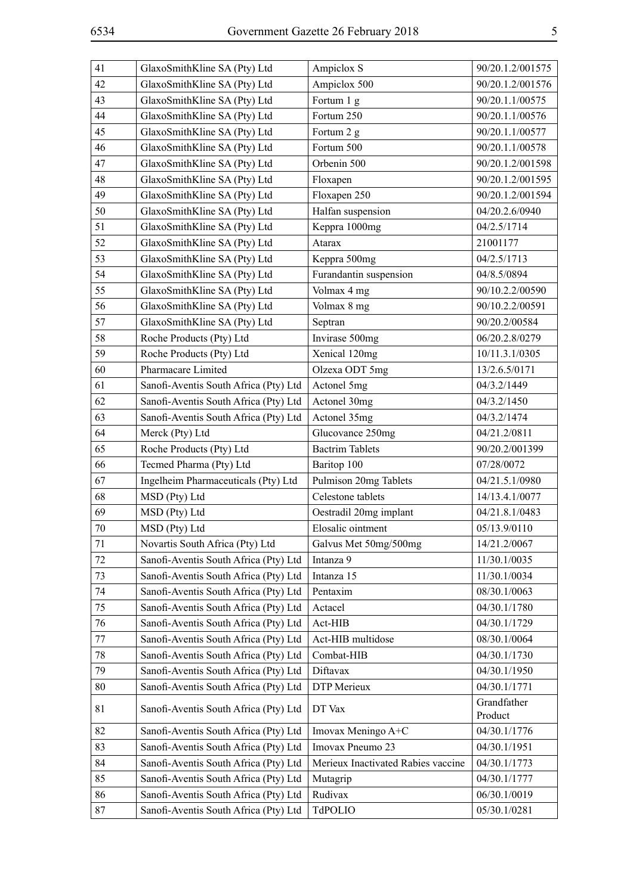|   | × |         |   |  |
|---|---|---------|---|--|
|   |   |         |   |  |
|   |   |         | I |  |
|   |   | I<br>۰. | I |  |
| × | v |         |   |  |
|   |   |         |   |  |

| 42<br>Ampiclox 500<br>GlaxoSmithKline SA (Pty) Ltd<br>90/20.1.2/001576<br>43<br>GlaxoSmithKline SA (Pty) Ltd<br>Fortum 1 g<br>90/20.1.1/00575<br>44<br>GlaxoSmithKline SA (Pty) Ltd<br>Fortum 250<br>90/20.1.1/00576<br>45<br>GlaxoSmithKline SA (Pty) Ltd<br>Fortum 2 g<br>90/20.1.1/00577<br>Fortum 500<br>46<br>GlaxoSmithKline SA (Pty) Ltd<br>90/20.1.1/00578<br>Orbenin 500<br>47<br>GlaxoSmithKline SA (Pty) Ltd<br>90/20.1.2/001598<br>48<br>GlaxoSmithKline SA (Pty) Ltd<br>90/20.1.2/001595<br>Floxapen<br>49<br>GlaxoSmithKline SA (Pty) Ltd<br>Floxapen 250<br>90/20.1.2/001594<br>GlaxoSmithKline SA (Pty) Ltd<br>Halfan suspension<br>50<br>04/20.2.6/0940<br>Keppra 1000mg<br>51<br>GlaxoSmithKline SA (Pty) Ltd<br>04/2.5/1714<br>52<br>GlaxoSmithKline SA (Pty) Ltd<br>Atarax<br>21001177<br>53<br>GlaxoSmithKline SA (Pty) Ltd<br>Keppra 500mg<br>04/2.5/1713<br>54<br>GlaxoSmithKline SA (Pty) Ltd<br>Furandantin suspension<br>04/8.5/0894<br>55<br>GlaxoSmithKline SA (Pty) Ltd<br>Volmax 4 mg<br>90/10.2.2/00590<br>56<br>GlaxoSmithKline SA (Pty) Ltd<br>Volmax 8 mg<br>90/10.2.2/00591<br>57<br>GlaxoSmithKline SA (Pty) Ltd<br>Septran<br>90/20.2/00584<br>Invirase 500mg<br>58<br>Roche Products (Pty) Ltd<br>06/20.2.8/0279<br>59<br>Roche Products (Pty) Ltd<br>Xenical 120mg<br>10/11.3.1/0305<br>Pharmacare Limited<br>60<br>Olzexa ODT 5mg<br>13/2.6.5/0171<br>61<br>Sanofi-Aventis South Africa (Pty) Ltd<br>Actonel 5mg<br>04/3.2/1449<br>62<br>Sanofi-Aventis South Africa (Pty) Ltd<br>Actonel 30mg<br>04/3.2/1450<br>63<br>Sanofi-Aventis South Africa (Pty) Ltd<br>Actonel 35mg<br>04/3.2/1474<br>64<br>Merck (Pty) Ltd<br>Glucovance 250mg<br>04/21.2/0811<br>65<br>Roche Products (Pty) Ltd<br><b>Bactrim Tablets</b><br>90/20.2/001399<br>66<br>Tecmed Pharma (Pty) Ltd<br>Baritop 100<br>07/28/0072<br>67<br>Ingelheim Pharmaceuticals (Pty) Ltd<br>Pulmison 20mg Tablets<br>04/21.5.1/0980<br>68<br>MSD (Pty) Ltd<br>Celestone tablets<br>14/13.4.1/0077<br>69<br>MSD (Pty) Ltd<br>Oestradil 20mg implant<br>04/21.8.1/0483<br>Elosalic ointment<br>70<br>MSD (Pty) Ltd<br>05/13.9/0110<br>71<br>Novartis South Africa (Pty) Ltd<br>Galvus Met 50mg/500mg<br>14/21.2/0067<br>Sanofi-Aventis South Africa (Pty) Ltd<br>Intanza 9<br>72<br>11/30.1/0035<br>Sanofi-Aventis South Africa (Pty) Ltd<br>73<br>Intanza 15<br>11/30.1/0034<br>74<br>Sanofi-Aventis South Africa (Pty) Ltd<br>Pentaxim<br>08/30.1/0063<br>75<br>Sanofi-Aventis South Africa (Pty) Ltd<br>Actacel<br>04/30.1/1780<br>Sanofi-Aventis South Africa (Pty) Ltd<br>76<br>Act-HIB<br>04/30.1/1729<br>77<br>Sanofi-Aventis South Africa (Pty) Ltd<br>Act-HIB multidose<br>08/30.1/0064<br>78<br>Sanofi-Aventis South Africa (Pty) Ltd<br>Combat-HIB<br>04/30.1/1730<br>79<br>Sanofi-Aventis South Africa (Pty) Ltd<br>Diftavax<br>04/30.1/1950<br>Sanofi-Aventis South Africa (Pty) Ltd<br>80<br>DTP Merieux<br>04/30.1/1771<br>Grandfather<br>81<br>Sanofi-Aventis South Africa (Pty) Ltd<br>DT Vax<br>Product<br>82<br>Sanofi-Aventis South Africa (Pty) Ltd<br>Imovax Meningo A+C<br>04/30.1/1776<br>83<br>Sanofi-Aventis South Africa (Pty) Ltd<br>Imovax Pneumo 23<br>04/30.1/1951<br>Sanofi-Aventis South Africa (Pty) Ltd<br>Merieux Inactivated Rabies vaccine<br>84<br>04/30.1/1773<br>85<br>Sanofi-Aventis South Africa (Pty) Ltd<br>Mutagrip<br>04/30.1/1777<br>Rudivax<br>86<br>Sanofi-Aventis South Africa (Pty) Ltd<br>06/30.1/0019 | 41 | GlaxoSmithKline SA (Pty) Ltd | Ampiclox S | 90/20.1.2/001575 |
|------------------------------------------------------------------------------------------------------------------------------------------------------------------------------------------------------------------------------------------------------------------------------------------------------------------------------------------------------------------------------------------------------------------------------------------------------------------------------------------------------------------------------------------------------------------------------------------------------------------------------------------------------------------------------------------------------------------------------------------------------------------------------------------------------------------------------------------------------------------------------------------------------------------------------------------------------------------------------------------------------------------------------------------------------------------------------------------------------------------------------------------------------------------------------------------------------------------------------------------------------------------------------------------------------------------------------------------------------------------------------------------------------------------------------------------------------------------------------------------------------------------------------------------------------------------------------------------------------------------------------------------------------------------------------------------------------------------------------------------------------------------------------------------------------------------------------------------------------------------------------------------------------------------------------------------------------------------------------------------------------------------------------------------------------------------------------------------------------------------------------------------------------------------------------------------------------------------------------------------------------------------------------------------------------------------------------------------------------------------------------------------------------------------------------------------------------------------------------------------------------------------------------------------------------------------------------------------------------------------------------------------------------------------------------------------------------------------------------------------------------------------------------------------------------------------------------------------------------------------------------------------------------------------------------------------------------------------------------------------------------------------------------------------------------------------------------------------------------------------------------------------------------------------------------------------------------------------------------------------------------------------------------------------------------------------------------------------------------------------------------------------------------------------------------------------------------------|----|------------------------------|------------|------------------|
|                                                                                                                                                                                                                                                                                                                                                                                                                                                                                                                                                                                                                                                                                                                                                                                                                                                                                                                                                                                                                                                                                                                                                                                                                                                                                                                                                                                                                                                                                                                                                                                                                                                                                                                                                                                                                                                                                                                                                                                                                                                                                                                                                                                                                                                                                                                                                                                                                                                                                                                                                                                                                                                                                                                                                                                                                                                                                                                                                                                                                                                                                                                                                                                                                                                                                                                                                                                                                                                            |    |                              |            |                  |
|                                                                                                                                                                                                                                                                                                                                                                                                                                                                                                                                                                                                                                                                                                                                                                                                                                                                                                                                                                                                                                                                                                                                                                                                                                                                                                                                                                                                                                                                                                                                                                                                                                                                                                                                                                                                                                                                                                                                                                                                                                                                                                                                                                                                                                                                                                                                                                                                                                                                                                                                                                                                                                                                                                                                                                                                                                                                                                                                                                                                                                                                                                                                                                                                                                                                                                                                                                                                                                                            |    |                              |            |                  |
|                                                                                                                                                                                                                                                                                                                                                                                                                                                                                                                                                                                                                                                                                                                                                                                                                                                                                                                                                                                                                                                                                                                                                                                                                                                                                                                                                                                                                                                                                                                                                                                                                                                                                                                                                                                                                                                                                                                                                                                                                                                                                                                                                                                                                                                                                                                                                                                                                                                                                                                                                                                                                                                                                                                                                                                                                                                                                                                                                                                                                                                                                                                                                                                                                                                                                                                                                                                                                                                            |    |                              |            |                  |
|                                                                                                                                                                                                                                                                                                                                                                                                                                                                                                                                                                                                                                                                                                                                                                                                                                                                                                                                                                                                                                                                                                                                                                                                                                                                                                                                                                                                                                                                                                                                                                                                                                                                                                                                                                                                                                                                                                                                                                                                                                                                                                                                                                                                                                                                                                                                                                                                                                                                                                                                                                                                                                                                                                                                                                                                                                                                                                                                                                                                                                                                                                                                                                                                                                                                                                                                                                                                                                                            |    |                              |            |                  |
|                                                                                                                                                                                                                                                                                                                                                                                                                                                                                                                                                                                                                                                                                                                                                                                                                                                                                                                                                                                                                                                                                                                                                                                                                                                                                                                                                                                                                                                                                                                                                                                                                                                                                                                                                                                                                                                                                                                                                                                                                                                                                                                                                                                                                                                                                                                                                                                                                                                                                                                                                                                                                                                                                                                                                                                                                                                                                                                                                                                                                                                                                                                                                                                                                                                                                                                                                                                                                                                            |    |                              |            |                  |
|                                                                                                                                                                                                                                                                                                                                                                                                                                                                                                                                                                                                                                                                                                                                                                                                                                                                                                                                                                                                                                                                                                                                                                                                                                                                                                                                                                                                                                                                                                                                                                                                                                                                                                                                                                                                                                                                                                                                                                                                                                                                                                                                                                                                                                                                                                                                                                                                                                                                                                                                                                                                                                                                                                                                                                                                                                                                                                                                                                                                                                                                                                                                                                                                                                                                                                                                                                                                                                                            |    |                              |            |                  |
|                                                                                                                                                                                                                                                                                                                                                                                                                                                                                                                                                                                                                                                                                                                                                                                                                                                                                                                                                                                                                                                                                                                                                                                                                                                                                                                                                                                                                                                                                                                                                                                                                                                                                                                                                                                                                                                                                                                                                                                                                                                                                                                                                                                                                                                                                                                                                                                                                                                                                                                                                                                                                                                                                                                                                                                                                                                                                                                                                                                                                                                                                                                                                                                                                                                                                                                                                                                                                                                            |    |                              |            |                  |
|                                                                                                                                                                                                                                                                                                                                                                                                                                                                                                                                                                                                                                                                                                                                                                                                                                                                                                                                                                                                                                                                                                                                                                                                                                                                                                                                                                                                                                                                                                                                                                                                                                                                                                                                                                                                                                                                                                                                                                                                                                                                                                                                                                                                                                                                                                                                                                                                                                                                                                                                                                                                                                                                                                                                                                                                                                                                                                                                                                                                                                                                                                                                                                                                                                                                                                                                                                                                                                                            |    |                              |            |                  |
|                                                                                                                                                                                                                                                                                                                                                                                                                                                                                                                                                                                                                                                                                                                                                                                                                                                                                                                                                                                                                                                                                                                                                                                                                                                                                                                                                                                                                                                                                                                                                                                                                                                                                                                                                                                                                                                                                                                                                                                                                                                                                                                                                                                                                                                                                                                                                                                                                                                                                                                                                                                                                                                                                                                                                                                                                                                                                                                                                                                                                                                                                                                                                                                                                                                                                                                                                                                                                                                            |    |                              |            |                  |
|                                                                                                                                                                                                                                                                                                                                                                                                                                                                                                                                                                                                                                                                                                                                                                                                                                                                                                                                                                                                                                                                                                                                                                                                                                                                                                                                                                                                                                                                                                                                                                                                                                                                                                                                                                                                                                                                                                                                                                                                                                                                                                                                                                                                                                                                                                                                                                                                                                                                                                                                                                                                                                                                                                                                                                                                                                                                                                                                                                                                                                                                                                                                                                                                                                                                                                                                                                                                                                                            |    |                              |            |                  |
|                                                                                                                                                                                                                                                                                                                                                                                                                                                                                                                                                                                                                                                                                                                                                                                                                                                                                                                                                                                                                                                                                                                                                                                                                                                                                                                                                                                                                                                                                                                                                                                                                                                                                                                                                                                                                                                                                                                                                                                                                                                                                                                                                                                                                                                                                                                                                                                                                                                                                                                                                                                                                                                                                                                                                                                                                                                                                                                                                                                                                                                                                                                                                                                                                                                                                                                                                                                                                                                            |    |                              |            |                  |
|                                                                                                                                                                                                                                                                                                                                                                                                                                                                                                                                                                                                                                                                                                                                                                                                                                                                                                                                                                                                                                                                                                                                                                                                                                                                                                                                                                                                                                                                                                                                                                                                                                                                                                                                                                                                                                                                                                                                                                                                                                                                                                                                                                                                                                                                                                                                                                                                                                                                                                                                                                                                                                                                                                                                                                                                                                                                                                                                                                                                                                                                                                                                                                                                                                                                                                                                                                                                                                                            |    |                              |            |                  |
|                                                                                                                                                                                                                                                                                                                                                                                                                                                                                                                                                                                                                                                                                                                                                                                                                                                                                                                                                                                                                                                                                                                                                                                                                                                                                                                                                                                                                                                                                                                                                                                                                                                                                                                                                                                                                                                                                                                                                                                                                                                                                                                                                                                                                                                                                                                                                                                                                                                                                                                                                                                                                                                                                                                                                                                                                                                                                                                                                                                                                                                                                                                                                                                                                                                                                                                                                                                                                                                            |    |                              |            |                  |
|                                                                                                                                                                                                                                                                                                                                                                                                                                                                                                                                                                                                                                                                                                                                                                                                                                                                                                                                                                                                                                                                                                                                                                                                                                                                                                                                                                                                                                                                                                                                                                                                                                                                                                                                                                                                                                                                                                                                                                                                                                                                                                                                                                                                                                                                                                                                                                                                                                                                                                                                                                                                                                                                                                                                                                                                                                                                                                                                                                                                                                                                                                                                                                                                                                                                                                                                                                                                                                                            |    |                              |            |                  |
|                                                                                                                                                                                                                                                                                                                                                                                                                                                                                                                                                                                                                                                                                                                                                                                                                                                                                                                                                                                                                                                                                                                                                                                                                                                                                                                                                                                                                                                                                                                                                                                                                                                                                                                                                                                                                                                                                                                                                                                                                                                                                                                                                                                                                                                                                                                                                                                                                                                                                                                                                                                                                                                                                                                                                                                                                                                                                                                                                                                                                                                                                                                                                                                                                                                                                                                                                                                                                                                            |    |                              |            |                  |
|                                                                                                                                                                                                                                                                                                                                                                                                                                                                                                                                                                                                                                                                                                                                                                                                                                                                                                                                                                                                                                                                                                                                                                                                                                                                                                                                                                                                                                                                                                                                                                                                                                                                                                                                                                                                                                                                                                                                                                                                                                                                                                                                                                                                                                                                                                                                                                                                                                                                                                                                                                                                                                                                                                                                                                                                                                                                                                                                                                                                                                                                                                                                                                                                                                                                                                                                                                                                                                                            |    |                              |            |                  |
|                                                                                                                                                                                                                                                                                                                                                                                                                                                                                                                                                                                                                                                                                                                                                                                                                                                                                                                                                                                                                                                                                                                                                                                                                                                                                                                                                                                                                                                                                                                                                                                                                                                                                                                                                                                                                                                                                                                                                                                                                                                                                                                                                                                                                                                                                                                                                                                                                                                                                                                                                                                                                                                                                                                                                                                                                                                                                                                                                                                                                                                                                                                                                                                                                                                                                                                                                                                                                                                            |    |                              |            |                  |
|                                                                                                                                                                                                                                                                                                                                                                                                                                                                                                                                                                                                                                                                                                                                                                                                                                                                                                                                                                                                                                                                                                                                                                                                                                                                                                                                                                                                                                                                                                                                                                                                                                                                                                                                                                                                                                                                                                                                                                                                                                                                                                                                                                                                                                                                                                                                                                                                                                                                                                                                                                                                                                                                                                                                                                                                                                                                                                                                                                                                                                                                                                                                                                                                                                                                                                                                                                                                                                                            |    |                              |            |                  |
|                                                                                                                                                                                                                                                                                                                                                                                                                                                                                                                                                                                                                                                                                                                                                                                                                                                                                                                                                                                                                                                                                                                                                                                                                                                                                                                                                                                                                                                                                                                                                                                                                                                                                                                                                                                                                                                                                                                                                                                                                                                                                                                                                                                                                                                                                                                                                                                                                                                                                                                                                                                                                                                                                                                                                                                                                                                                                                                                                                                                                                                                                                                                                                                                                                                                                                                                                                                                                                                            |    |                              |            |                  |
|                                                                                                                                                                                                                                                                                                                                                                                                                                                                                                                                                                                                                                                                                                                                                                                                                                                                                                                                                                                                                                                                                                                                                                                                                                                                                                                                                                                                                                                                                                                                                                                                                                                                                                                                                                                                                                                                                                                                                                                                                                                                                                                                                                                                                                                                                                                                                                                                                                                                                                                                                                                                                                                                                                                                                                                                                                                                                                                                                                                                                                                                                                                                                                                                                                                                                                                                                                                                                                                            |    |                              |            |                  |
|                                                                                                                                                                                                                                                                                                                                                                                                                                                                                                                                                                                                                                                                                                                                                                                                                                                                                                                                                                                                                                                                                                                                                                                                                                                                                                                                                                                                                                                                                                                                                                                                                                                                                                                                                                                                                                                                                                                                                                                                                                                                                                                                                                                                                                                                                                                                                                                                                                                                                                                                                                                                                                                                                                                                                                                                                                                                                                                                                                                                                                                                                                                                                                                                                                                                                                                                                                                                                                                            |    |                              |            |                  |
|                                                                                                                                                                                                                                                                                                                                                                                                                                                                                                                                                                                                                                                                                                                                                                                                                                                                                                                                                                                                                                                                                                                                                                                                                                                                                                                                                                                                                                                                                                                                                                                                                                                                                                                                                                                                                                                                                                                                                                                                                                                                                                                                                                                                                                                                                                                                                                                                                                                                                                                                                                                                                                                                                                                                                                                                                                                                                                                                                                                                                                                                                                                                                                                                                                                                                                                                                                                                                                                            |    |                              |            |                  |
|                                                                                                                                                                                                                                                                                                                                                                                                                                                                                                                                                                                                                                                                                                                                                                                                                                                                                                                                                                                                                                                                                                                                                                                                                                                                                                                                                                                                                                                                                                                                                                                                                                                                                                                                                                                                                                                                                                                                                                                                                                                                                                                                                                                                                                                                                                                                                                                                                                                                                                                                                                                                                                                                                                                                                                                                                                                                                                                                                                                                                                                                                                                                                                                                                                                                                                                                                                                                                                                            |    |                              |            |                  |
|                                                                                                                                                                                                                                                                                                                                                                                                                                                                                                                                                                                                                                                                                                                                                                                                                                                                                                                                                                                                                                                                                                                                                                                                                                                                                                                                                                                                                                                                                                                                                                                                                                                                                                                                                                                                                                                                                                                                                                                                                                                                                                                                                                                                                                                                                                                                                                                                                                                                                                                                                                                                                                                                                                                                                                                                                                                                                                                                                                                                                                                                                                                                                                                                                                                                                                                                                                                                                                                            |    |                              |            |                  |
|                                                                                                                                                                                                                                                                                                                                                                                                                                                                                                                                                                                                                                                                                                                                                                                                                                                                                                                                                                                                                                                                                                                                                                                                                                                                                                                                                                                                                                                                                                                                                                                                                                                                                                                                                                                                                                                                                                                                                                                                                                                                                                                                                                                                                                                                                                                                                                                                                                                                                                                                                                                                                                                                                                                                                                                                                                                                                                                                                                                                                                                                                                                                                                                                                                                                                                                                                                                                                                                            |    |                              |            |                  |
|                                                                                                                                                                                                                                                                                                                                                                                                                                                                                                                                                                                                                                                                                                                                                                                                                                                                                                                                                                                                                                                                                                                                                                                                                                                                                                                                                                                                                                                                                                                                                                                                                                                                                                                                                                                                                                                                                                                                                                                                                                                                                                                                                                                                                                                                                                                                                                                                                                                                                                                                                                                                                                                                                                                                                                                                                                                                                                                                                                                                                                                                                                                                                                                                                                                                                                                                                                                                                                                            |    |                              |            |                  |
|                                                                                                                                                                                                                                                                                                                                                                                                                                                                                                                                                                                                                                                                                                                                                                                                                                                                                                                                                                                                                                                                                                                                                                                                                                                                                                                                                                                                                                                                                                                                                                                                                                                                                                                                                                                                                                                                                                                                                                                                                                                                                                                                                                                                                                                                                                                                                                                                                                                                                                                                                                                                                                                                                                                                                                                                                                                                                                                                                                                                                                                                                                                                                                                                                                                                                                                                                                                                                                                            |    |                              |            |                  |
|                                                                                                                                                                                                                                                                                                                                                                                                                                                                                                                                                                                                                                                                                                                                                                                                                                                                                                                                                                                                                                                                                                                                                                                                                                                                                                                                                                                                                                                                                                                                                                                                                                                                                                                                                                                                                                                                                                                                                                                                                                                                                                                                                                                                                                                                                                                                                                                                                                                                                                                                                                                                                                                                                                                                                                                                                                                                                                                                                                                                                                                                                                                                                                                                                                                                                                                                                                                                                                                            |    |                              |            |                  |
|                                                                                                                                                                                                                                                                                                                                                                                                                                                                                                                                                                                                                                                                                                                                                                                                                                                                                                                                                                                                                                                                                                                                                                                                                                                                                                                                                                                                                                                                                                                                                                                                                                                                                                                                                                                                                                                                                                                                                                                                                                                                                                                                                                                                                                                                                                                                                                                                                                                                                                                                                                                                                                                                                                                                                                                                                                                                                                                                                                                                                                                                                                                                                                                                                                                                                                                                                                                                                                                            |    |                              |            |                  |
|                                                                                                                                                                                                                                                                                                                                                                                                                                                                                                                                                                                                                                                                                                                                                                                                                                                                                                                                                                                                                                                                                                                                                                                                                                                                                                                                                                                                                                                                                                                                                                                                                                                                                                                                                                                                                                                                                                                                                                                                                                                                                                                                                                                                                                                                                                                                                                                                                                                                                                                                                                                                                                                                                                                                                                                                                                                                                                                                                                                                                                                                                                                                                                                                                                                                                                                                                                                                                                                            |    |                              |            |                  |
|                                                                                                                                                                                                                                                                                                                                                                                                                                                                                                                                                                                                                                                                                                                                                                                                                                                                                                                                                                                                                                                                                                                                                                                                                                                                                                                                                                                                                                                                                                                                                                                                                                                                                                                                                                                                                                                                                                                                                                                                                                                                                                                                                                                                                                                                                                                                                                                                                                                                                                                                                                                                                                                                                                                                                                                                                                                                                                                                                                                                                                                                                                                                                                                                                                                                                                                                                                                                                                                            |    |                              |            |                  |
|                                                                                                                                                                                                                                                                                                                                                                                                                                                                                                                                                                                                                                                                                                                                                                                                                                                                                                                                                                                                                                                                                                                                                                                                                                                                                                                                                                                                                                                                                                                                                                                                                                                                                                                                                                                                                                                                                                                                                                                                                                                                                                                                                                                                                                                                                                                                                                                                                                                                                                                                                                                                                                                                                                                                                                                                                                                                                                                                                                                                                                                                                                                                                                                                                                                                                                                                                                                                                                                            |    |                              |            |                  |
|                                                                                                                                                                                                                                                                                                                                                                                                                                                                                                                                                                                                                                                                                                                                                                                                                                                                                                                                                                                                                                                                                                                                                                                                                                                                                                                                                                                                                                                                                                                                                                                                                                                                                                                                                                                                                                                                                                                                                                                                                                                                                                                                                                                                                                                                                                                                                                                                                                                                                                                                                                                                                                                                                                                                                                                                                                                                                                                                                                                                                                                                                                                                                                                                                                                                                                                                                                                                                                                            |    |                              |            |                  |
|                                                                                                                                                                                                                                                                                                                                                                                                                                                                                                                                                                                                                                                                                                                                                                                                                                                                                                                                                                                                                                                                                                                                                                                                                                                                                                                                                                                                                                                                                                                                                                                                                                                                                                                                                                                                                                                                                                                                                                                                                                                                                                                                                                                                                                                                                                                                                                                                                                                                                                                                                                                                                                                                                                                                                                                                                                                                                                                                                                                                                                                                                                                                                                                                                                                                                                                                                                                                                                                            |    |                              |            |                  |
|                                                                                                                                                                                                                                                                                                                                                                                                                                                                                                                                                                                                                                                                                                                                                                                                                                                                                                                                                                                                                                                                                                                                                                                                                                                                                                                                                                                                                                                                                                                                                                                                                                                                                                                                                                                                                                                                                                                                                                                                                                                                                                                                                                                                                                                                                                                                                                                                                                                                                                                                                                                                                                                                                                                                                                                                                                                                                                                                                                                                                                                                                                                                                                                                                                                                                                                                                                                                                                                            |    |                              |            |                  |
|                                                                                                                                                                                                                                                                                                                                                                                                                                                                                                                                                                                                                                                                                                                                                                                                                                                                                                                                                                                                                                                                                                                                                                                                                                                                                                                                                                                                                                                                                                                                                                                                                                                                                                                                                                                                                                                                                                                                                                                                                                                                                                                                                                                                                                                                                                                                                                                                                                                                                                                                                                                                                                                                                                                                                                                                                                                                                                                                                                                                                                                                                                                                                                                                                                                                                                                                                                                                                                                            |    |                              |            |                  |
|                                                                                                                                                                                                                                                                                                                                                                                                                                                                                                                                                                                                                                                                                                                                                                                                                                                                                                                                                                                                                                                                                                                                                                                                                                                                                                                                                                                                                                                                                                                                                                                                                                                                                                                                                                                                                                                                                                                                                                                                                                                                                                                                                                                                                                                                                                                                                                                                                                                                                                                                                                                                                                                                                                                                                                                                                                                                                                                                                                                                                                                                                                                                                                                                                                                                                                                                                                                                                                                            |    |                              |            |                  |
|                                                                                                                                                                                                                                                                                                                                                                                                                                                                                                                                                                                                                                                                                                                                                                                                                                                                                                                                                                                                                                                                                                                                                                                                                                                                                                                                                                                                                                                                                                                                                                                                                                                                                                                                                                                                                                                                                                                                                                                                                                                                                                                                                                                                                                                                                                                                                                                                                                                                                                                                                                                                                                                                                                                                                                                                                                                                                                                                                                                                                                                                                                                                                                                                                                                                                                                                                                                                                                                            |    |                              |            |                  |
|                                                                                                                                                                                                                                                                                                                                                                                                                                                                                                                                                                                                                                                                                                                                                                                                                                                                                                                                                                                                                                                                                                                                                                                                                                                                                                                                                                                                                                                                                                                                                                                                                                                                                                                                                                                                                                                                                                                                                                                                                                                                                                                                                                                                                                                                                                                                                                                                                                                                                                                                                                                                                                                                                                                                                                                                                                                                                                                                                                                                                                                                                                                                                                                                                                                                                                                                                                                                                                                            |    |                              |            |                  |
|                                                                                                                                                                                                                                                                                                                                                                                                                                                                                                                                                                                                                                                                                                                                                                                                                                                                                                                                                                                                                                                                                                                                                                                                                                                                                                                                                                                                                                                                                                                                                                                                                                                                                                                                                                                                                                                                                                                                                                                                                                                                                                                                                                                                                                                                                                                                                                                                                                                                                                                                                                                                                                                                                                                                                                                                                                                                                                                                                                                                                                                                                                                                                                                                                                                                                                                                                                                                                                                            |    |                              |            |                  |
|                                                                                                                                                                                                                                                                                                                                                                                                                                                                                                                                                                                                                                                                                                                                                                                                                                                                                                                                                                                                                                                                                                                                                                                                                                                                                                                                                                                                                                                                                                                                                                                                                                                                                                                                                                                                                                                                                                                                                                                                                                                                                                                                                                                                                                                                                                                                                                                                                                                                                                                                                                                                                                                                                                                                                                                                                                                                                                                                                                                                                                                                                                                                                                                                                                                                                                                                                                                                                                                            |    |                              |            |                  |
|                                                                                                                                                                                                                                                                                                                                                                                                                                                                                                                                                                                                                                                                                                                                                                                                                                                                                                                                                                                                                                                                                                                                                                                                                                                                                                                                                                                                                                                                                                                                                                                                                                                                                                                                                                                                                                                                                                                                                                                                                                                                                                                                                                                                                                                                                                                                                                                                                                                                                                                                                                                                                                                                                                                                                                                                                                                                                                                                                                                                                                                                                                                                                                                                                                                                                                                                                                                                                                                            |    |                              |            |                  |
|                                                                                                                                                                                                                                                                                                                                                                                                                                                                                                                                                                                                                                                                                                                                                                                                                                                                                                                                                                                                                                                                                                                                                                                                                                                                                                                                                                                                                                                                                                                                                                                                                                                                                                                                                                                                                                                                                                                                                                                                                                                                                                                                                                                                                                                                                                                                                                                                                                                                                                                                                                                                                                                                                                                                                                                                                                                                                                                                                                                                                                                                                                                                                                                                                                                                                                                                                                                                                                                            |    |                              |            |                  |
|                                                                                                                                                                                                                                                                                                                                                                                                                                                                                                                                                                                                                                                                                                                                                                                                                                                                                                                                                                                                                                                                                                                                                                                                                                                                                                                                                                                                                                                                                                                                                                                                                                                                                                                                                                                                                                                                                                                                                                                                                                                                                                                                                                                                                                                                                                                                                                                                                                                                                                                                                                                                                                                                                                                                                                                                                                                                                                                                                                                                                                                                                                                                                                                                                                                                                                                                                                                                                                                            |    |                              |            |                  |
|                                                                                                                                                                                                                                                                                                                                                                                                                                                                                                                                                                                                                                                                                                                                                                                                                                                                                                                                                                                                                                                                                                                                                                                                                                                                                                                                                                                                                                                                                                                                                                                                                                                                                                                                                                                                                                                                                                                                                                                                                                                                                                                                                                                                                                                                                                                                                                                                                                                                                                                                                                                                                                                                                                                                                                                                                                                                                                                                                                                                                                                                                                                                                                                                                                                                                                                                                                                                                                                            |    |                              |            |                  |
| 87<br>Sanofi-Aventis South Africa (Pty) Ltd<br>TdPOLIO<br>05/30.1/0281                                                                                                                                                                                                                                                                                                                                                                                                                                                                                                                                                                                                                                                                                                                                                                                                                                                                                                                                                                                                                                                                                                                                                                                                                                                                                                                                                                                                                                                                                                                                                                                                                                                                                                                                                                                                                                                                                                                                                                                                                                                                                                                                                                                                                                                                                                                                                                                                                                                                                                                                                                                                                                                                                                                                                                                                                                                                                                                                                                                                                                                                                                                                                                                                                                                                                                                                                                                     |    |                              |            |                  |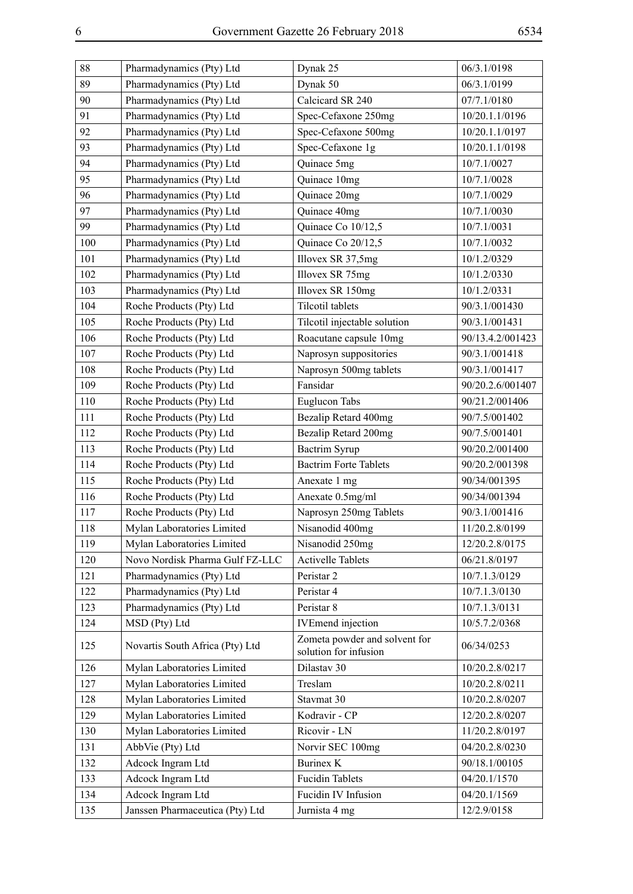| 88  | Pharmadynamics (Pty) Ltd        | Dynak 25                                               | 06/3.1/0198      |
|-----|---------------------------------|--------------------------------------------------------|------------------|
| 89  | Pharmadynamics (Pty) Ltd        | Dynak 50                                               | 06/3.1/0199      |
| 90  | Pharmadynamics (Pty) Ltd        | Calcicard SR 240                                       | 07/7.1/0180      |
| 91  | Pharmadynamics (Pty) Ltd        | Spec-Cefaxone 250mg                                    | 10/20.1.1/0196   |
| 92  | Pharmadynamics (Pty) Ltd        | Spec-Cefaxone 500mg                                    | 10/20.1.1/0197   |
| 93  | Pharmadynamics (Pty) Ltd        | Spec-Cefaxone 1g                                       | 10/20.1.1/0198   |
| 94  | Pharmadynamics (Pty) Ltd        | Quinace 5mg                                            | 10/7.1/0027      |
| 95  | Pharmadynamics (Pty) Ltd        | Quinace 10mg                                           | 10/7.1/0028      |
| 96  | Pharmadynamics (Pty) Ltd        | Quinace 20mg                                           | 10/7.1/0029      |
| 97  | Pharmadynamics (Pty) Ltd        | Quinace 40mg                                           | 10/7.1/0030      |
| 99  | Pharmadynamics (Pty) Ltd        | Quinace Co 10/12,5                                     | 10/7.1/0031      |
| 100 | Pharmadynamics (Pty) Ltd        | Quinace Co 20/12,5                                     | 10/7.1/0032      |
| 101 | Pharmadynamics (Pty) Ltd        | Illovex SR 37,5mg                                      | 10/1.2/0329      |
| 102 | Pharmadynamics (Pty) Ltd        | Illovex SR 75mg                                        | 10/1.2/0330      |
| 103 | Pharmadynamics (Pty) Ltd        | Illovex SR 150mg                                       | 10/1.2/0331      |
| 104 | Roche Products (Pty) Ltd        | Tilcotil tablets                                       | 90/3.1/001430    |
| 105 | Roche Products (Pty) Ltd        | Tilcotil injectable solution                           | 90/3.1/001431    |
| 106 | Roche Products (Pty) Ltd        | Roacutane capsule 10mg                                 | 90/13.4.2/001423 |
| 107 | Roche Products (Pty) Ltd        | Naprosyn suppositories                                 | 90/3.1/001418    |
| 108 | Roche Products (Pty) Ltd        | Naprosyn 500mg tablets                                 | 90/3.1/001417    |
| 109 | Roche Products (Pty) Ltd        | Fansidar                                               | 90/20.2.6/001407 |
| 110 | Roche Products (Pty) Ltd        | Euglucon Tabs                                          | 90/21.2/001406   |
| 111 | Roche Products (Pty) Ltd        | Bezalip Retard 400mg                                   | 90/7.5/001402    |
| 112 | Roche Products (Pty) Ltd        | Bezalip Retard 200mg                                   | 90/7.5/001401    |
| 113 | Roche Products (Pty) Ltd        | Bactrim Syrup                                          | 90/20.2/001400   |
| 114 | Roche Products (Pty) Ltd        | <b>Bactrim Forte Tablets</b>                           | 90/20.2/001398   |
| 115 | Roche Products (Pty) Ltd        | Anexate 1 mg                                           | 90/34/001395     |
| 116 | Roche Products (Pty) Ltd        | Anexate 0.5mg/ml                                       | 90/34/001394     |
| 117 | Roche Products (Pty) Ltd        | Naprosyn 250mg Tablets                                 | 90/3.1/001416    |
| 118 | Mylan Laboratories Limited      | Nisanodid 400mg                                        | 11/20.2.8/0199   |
| 119 | Mylan Laboratories Limited      | Nisanodid 250mg                                        | 12/20.2.8/0175   |
| 120 | Novo Nordisk Pharma Gulf FZ-LLC | <b>Activelle Tablets</b>                               | 06/21.8/0197     |
| 121 | Pharmadynamics (Pty) Ltd        | Peristar 2                                             | 10/7.1.3/0129    |
| 122 | Pharmadynamics (Pty) Ltd        | Peristar 4                                             | 10/7.1.3/0130    |
| 123 | Pharmadynamics (Pty) Ltd        | Peristar 8                                             | 10/7.1.3/0131    |
| 124 | MSD (Pty) Ltd                   | <b>IVEmend</b> injection                               | 10/5.7.2/0368    |
| 125 | Novartis South Africa (Pty) Ltd | Zometa powder and solvent for<br>solution for infusion | 06/34/0253       |
| 126 | Mylan Laboratories Limited      | Dilastav 30                                            | 10/20.2.8/0217   |
| 127 | Mylan Laboratories Limited      | Treslam                                                | 10/20.2.8/0211   |
| 128 | Mylan Laboratories Limited      | Stavmat 30                                             | 10/20.2.8/0207   |
| 129 | Mylan Laboratories Limited      | Kodravir - CP                                          | 12/20.2.8/0207   |
| 130 | Mylan Laboratories Limited      | Ricovir - LN                                           | 11/20.2.8/0197   |
| 131 | AbbVie (Pty) Ltd                | Norvir SEC 100mg                                       | 04/20.2.8/0230   |
| 132 | Adcock Ingram Ltd               | <b>Burinex K</b>                                       | 90/18.1/00105    |
| 133 | Adcock Ingram Ltd               | <b>Fucidin Tablets</b>                                 | 04/20.1/1570     |
| 134 | Adcock Ingram Ltd               | Fucidin IV Infusion                                    | 04/20.1/1569     |
| 135 | Janssen Pharmaceutica (Pty) Ltd | Jurnista 4 mg                                          | 12/2.9/0158      |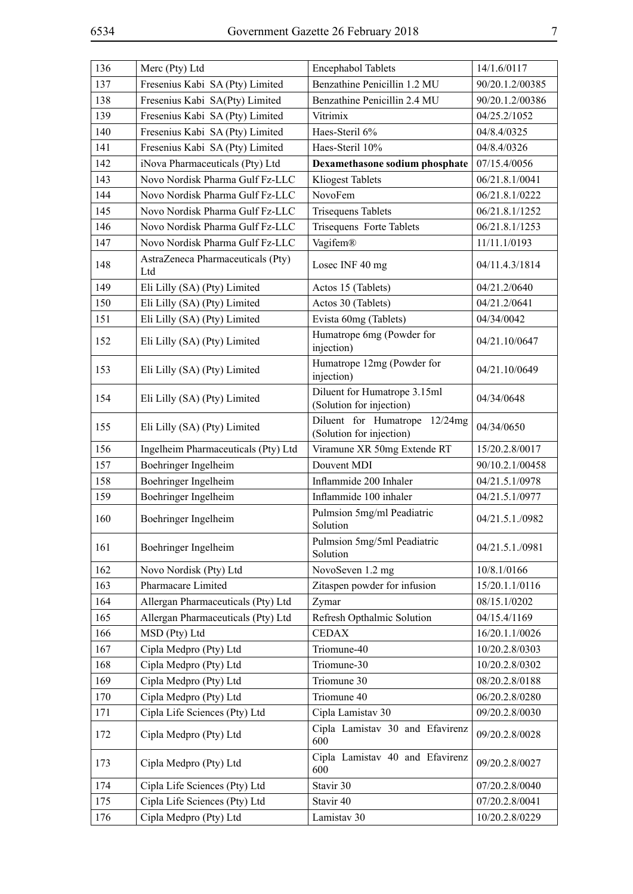| 136 | Merc (Pty) Ltd                           | <b>Encephabol Tablets</b>                                 | 14/1.6/0117     |
|-----|------------------------------------------|-----------------------------------------------------------|-----------------|
| 137 | Fresenius Kabi SA (Pty) Limited          | Benzathine Penicillin 1.2 MU                              | 90/20.1.2/00385 |
| 138 | Fresenius Kabi SA(Pty) Limited           | Benzathine Penicillin 2.4 MU                              | 90/20.1.2/00386 |
| 139 | Fresenius Kabi SA (Pty) Limited          | Vitrimix                                                  | 04/25.2/1052    |
| 140 | Fresenius Kabi SA (Pty) Limited          | Haes-Steril 6%                                            | 04/8.4/0325     |
| 141 | Fresenius Kabi SA (Pty) Limited          | Haes-Steril 10%                                           | 04/8.4/0326     |
| 142 | iNova Pharmaceuticals (Pty) Ltd          | Dexamethasone sodium phosphate                            | 07/15.4/0056    |
| 143 | Novo Nordisk Pharma Gulf Fz-LLC          | Kliogest Tablets                                          | 06/21.8.1/0041  |
| 144 | Novo Nordisk Pharma Gulf Fz-LLC          | NovoFem                                                   | 06/21.8.1/0222  |
| 145 | Novo Nordisk Pharma Gulf Fz-LLC          | <b>Trisequens Tablets</b>                                 | 06/21.8.1/1252  |
| 146 | Novo Nordisk Pharma Gulf Fz-LLC          | Trisequens Forte Tablets                                  | 06/21.8.1/1253  |
| 147 | Novo Nordisk Pharma Gulf Fz-LLC          | Vagifem®                                                  | 11/11.1/0193    |
| 148 | AstraZeneca Pharmaceuticals (Pty)<br>Ltd | Losec INF 40 mg                                           | 04/11.4.3/1814  |
| 149 | Eli Lilly (SA) (Pty) Limited             | Actos 15 (Tablets)                                        | 04/21.2/0640    |
| 150 | Eli Lilly (SA) (Pty) Limited             | Actos 30 (Tablets)                                        | 04/21.2/0641    |
| 151 | Eli Lilly (SA) (Pty) Limited             | Evista 60mg (Tablets)                                     | 04/34/0042      |
| 152 | Eli Lilly (SA) (Pty) Limited             | Humatrope 6mg (Powder for<br>injection)                   | 04/21.10/0647   |
| 153 | Eli Lilly (SA) (Pty) Limited             | Humatrope 12mg (Powder for<br>injection)                  | 04/21.10/0649   |
| 154 | Eli Lilly (SA) (Pty) Limited             | Diluent for Humatrope 3.15ml<br>(Solution for injection)  | 04/34/0648      |
| 155 | Eli Lilly (SA) (Pty) Limited             | Diluent for Humatrope 12/24mg<br>(Solution for injection) | 04/34/0650      |
| 156 | Ingelheim Pharmaceuticals (Pty) Ltd      | Viramune XR 50mg Extende RT                               | 15/20.2.8/0017  |
| 157 | Boehringer Ingelheim                     | Douvent MDI                                               | 90/10.2.1/00458 |
| 158 | Boehringer Ingelheim                     | Inflammide 200 Inhaler                                    | 04/21.5.1/0978  |
| 159 | Boehringer Ingelheim                     | Inflammide 100 inhaler                                    | 04/21.5.1/0977  |
| 160 | Boehringer Ingelheim                     | Pulmsion 5mg/ml Peadiatric<br>Solution                    | 04/21.5.1./0982 |
| 161 | Boehringer Ingelheim                     | Pulmsion 5mg/5ml Peadiatric<br>Solution                   | 04/21.5.1./0981 |
| 162 | Novo Nordisk (Pty) Ltd                   | NovoSeven 1.2 mg                                          | 10/8.1/0166     |
| 163 | Pharmacare Limited                       | Zitaspen powder for infusion                              | 15/20.1.1/0116  |
| 164 | Allergan Pharmaceuticals (Pty) Ltd       | Zymar                                                     | 08/15.1/0202    |
| 165 | Allergan Pharmaceuticals (Pty) Ltd       | Refresh Opthalmic Solution                                | 04/15.4/1169    |
| 166 | MSD (Pty) Ltd                            | <b>CEDAX</b>                                              | 16/20.1.1/0026  |
| 167 | Cipla Medpro (Pty) Ltd                   | Triomune-40                                               | 10/20.2.8/0303  |
| 168 | Cipla Medpro (Pty) Ltd                   | Triomune-30                                               | 10/20.2.8/0302  |
| 169 | Cipla Medpro (Pty) Ltd                   | Triomune 30                                               | 08/20.2.8/0188  |
| 170 | Cipla Medpro (Pty) Ltd                   | Triomune 40                                               | 06/20.2.8/0280  |
| 171 | Cipla Life Sciences (Pty) Ltd            | Cipla Lamistav 30                                         | 09/20.2.8/0030  |
| 172 | Cipla Medpro (Pty) Ltd                   | Cipla Lamistav 30 and Efavirenz<br>600                    | 09/20.2.8/0028  |
| 173 | Cipla Medpro (Pty) Ltd                   | Cipla Lamistav 40 and Efavirenz<br>600                    | 09/20.2.8/0027  |
| 174 | Cipla Life Sciences (Pty) Ltd            | Stavir 30                                                 | 07/20.2.8/0040  |
|     |                                          |                                                           |                 |
| 175 | Cipla Life Sciences (Pty) Ltd            | Stavir 40                                                 | 07/20.2.8/0041  |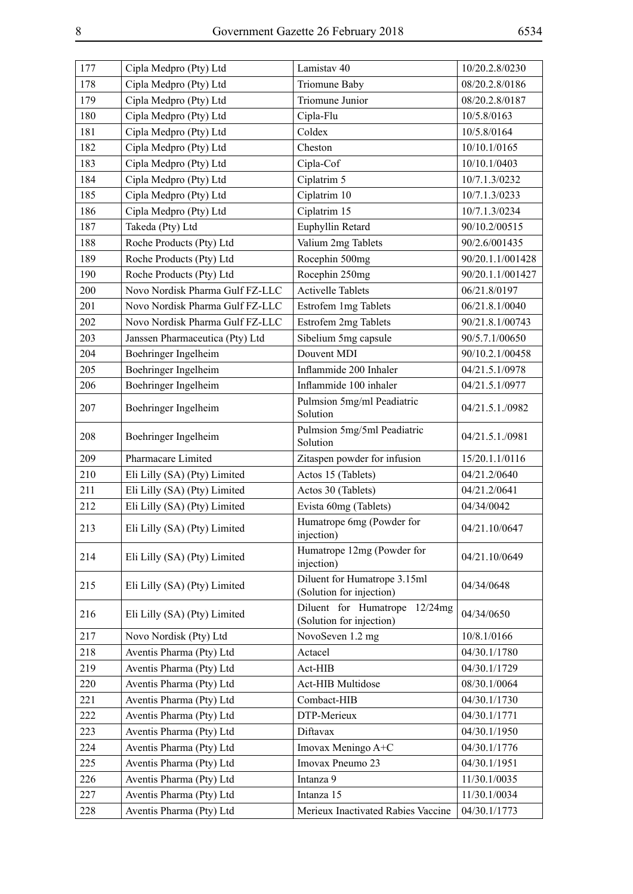| 177 | Cipla Medpro (Pty) Ltd          | Lamistav 40                                                  | 10/20.2.8/0230   |
|-----|---------------------------------|--------------------------------------------------------------|------------------|
| 178 | Cipla Medpro (Pty) Ltd          | Triomune Baby                                                | 08/20.2.8/0186   |
| 179 | Cipla Medpro (Pty) Ltd          | Triomune Junior                                              | 08/20.2.8/0187   |
| 180 | Cipla Medpro (Pty) Ltd          | Cipla-Flu                                                    | 10/5.8/0163      |
| 181 | Cipla Medpro (Pty) Ltd          | Coldex                                                       | 10/5.8/0164      |
| 182 | Cipla Medpro (Pty) Ltd          | Cheston                                                      | 10/10.1/0165     |
| 183 | Cipla Medpro (Pty) Ltd          | Cipla-Cof                                                    | 10/10.1/0403     |
| 184 | Cipla Medpro (Pty) Ltd          | Ciplatrim 5                                                  | 10/7.1.3/0232    |
| 185 | Cipla Medpro (Pty) Ltd          | Ciplatrim 10                                                 | 10/7.1.3/0233    |
| 186 | Cipla Medpro (Pty) Ltd          | Ciplatrim 15                                                 | 10/7.1.3/0234    |
| 187 | Takeda (Pty) Ltd                | Euphyllin Retard                                             | 90/10.2/00515    |
| 188 | Roche Products (Pty) Ltd        | Valium 2mg Tablets                                           | 90/2.6/001435    |
| 189 | Roche Products (Pty) Ltd        | Rocephin 500mg                                               | 90/20.1.1/001428 |
| 190 | Roche Products (Pty) Ltd        | Rocephin 250mg                                               | 90/20.1.1/001427 |
| 200 | Novo Nordisk Pharma Gulf FZ-LLC | <b>Activelle Tablets</b>                                     | 06/21.8/0197     |
| 201 | Novo Nordisk Pharma Gulf FZ-LLC | Estrofem 1mg Tablets                                         | 06/21.8.1/0040   |
| 202 | Novo Nordisk Pharma Gulf FZ-LLC | Estrofem 2mg Tablets                                         | 90/21.8.1/00743  |
| 203 | Janssen Pharmaceutica (Pty) Ltd | Sibelium 5mg capsule                                         | 90/5.7.1/00650   |
| 204 | Boehringer Ingelheim            | Douvent MDI                                                  | 90/10.2.1/00458  |
| 205 | Boehringer Ingelheim            | Inflammide 200 Inhaler                                       | 04/21.5.1/0978   |
| 206 | Boehringer Ingelheim            | Inflammide 100 inhaler                                       | 04/21.5.1/0977   |
| 207 | Boehringer Ingelheim            | Pulmsion 5mg/ml Peadiatric<br>Solution                       | 04/21.5.1./0982  |
| 208 | Boehringer Ingelheim            | Pulmsion 5mg/5ml Peadiatric<br>Solution                      | 04/21.5.1./0981  |
| 209 | Pharmacare Limited              | Zitaspen powder for infusion                                 | 15/20.1.1/0116   |
| 210 | Eli Lilly (SA) (Pty) Limited    | Actos 15 (Tablets)                                           | 04/21.2/0640     |
| 211 | Eli Lilly (SA) (Pty) Limited    | Actos 30 (Tablets)                                           | 04/21.2/0641     |
| 212 | Eli Lilly (SA) (Pty) Limited    | Evista 60mg (Tablets)                                        | 04/34/0042       |
| 213 | Eli Lilly (SA) (Pty) Limited    | Humatrope 6mg (Powder for<br>injection)                      | 04/21.10/0647    |
| 214 | Eli Lilly (SA) (Pty) Limited    | Humatrope 12mg (Powder for<br>injection)                     | 04/21.10/0649    |
| 215 | Eli Lilly (SA) (Pty) Limited    | Diluent for Humatrope 3.15ml<br>(Solution for injection)     | 04/34/0648       |
| 216 | Eli Lilly (SA) (Pty) Limited    | Diluent for Humatrope<br>12/24mg<br>(Solution for injection) | 04/34/0650       |
| 217 | Novo Nordisk (Pty) Ltd          | NovoSeven 1.2 mg                                             | 10/8.1/0166      |
| 218 | Aventis Pharma (Pty) Ltd        | Actacel                                                      | 04/30.1/1780     |
| 219 | Aventis Pharma (Pty) Ltd        | Act-HIB                                                      | 04/30.1/1729     |
| 220 | Aventis Pharma (Pty) Ltd        | Act-HIB Multidose                                            | 08/30.1/0064     |
| 221 | Aventis Pharma (Pty) Ltd        | Combact-HIB                                                  | 04/30.1/1730     |
| 222 | Aventis Pharma (Pty) Ltd        | DTP-Merieux                                                  | 04/30.1/1771     |
| 223 | Aventis Pharma (Pty) Ltd        | Diftavax                                                     | 04/30.1/1950     |
| 224 | Aventis Pharma (Pty) Ltd        | Imovax Meningo A+C                                           | 04/30.1/1776     |
| 225 | Aventis Pharma (Pty) Ltd        | Imovax Pneumo 23                                             | 04/30.1/1951     |
| 226 | Aventis Pharma (Pty) Ltd        | Intanza 9                                                    | 11/30.1/0035     |
| 227 | Aventis Pharma (Pty) Ltd        | Intanza 15                                                   | 11/30.1/0034     |
| 228 | Aventis Pharma (Pty) Ltd        | Merieux Inactivated Rabies Vaccine                           | 04/30.1/1773     |